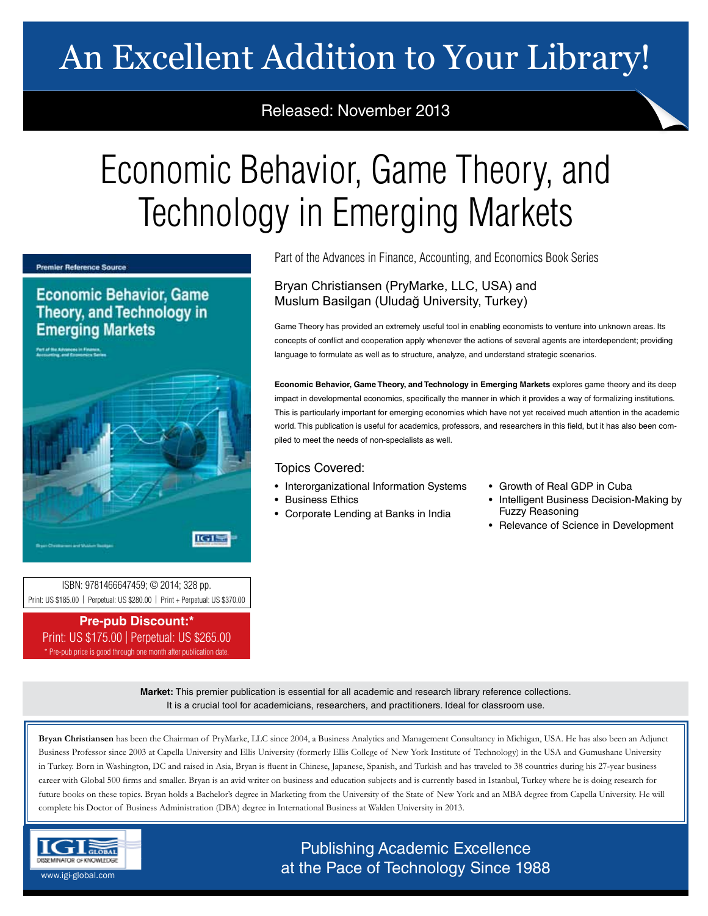# An Excellent Addition to Your Library!

## Released: November 2013

# Economic Behavior, Game Theory, and Technology in Emerging Markets

**Premier Reference Source** 

**Economic Behavior, Game Theory, and Technology in Emerging Markets** 

Fort of the Advances in Financia.<br>Accounting and Economics Service



Bryan Christiansen (PryMarke, LLC, USA) and

Part of the Advances in Finance, Accounting, and Economics Book Series

Muslum Basilgan (Uludağ University, Turkey)

Game Theory has provided an extremely useful tool in enabling economists to venture into unknown areas. Its concepts of conflict and cooperation apply whenever the actions of several agents are interdependent; providing language to formulate as well as to structure, analyze, and understand strategic scenarios.

**Economic Behavior, Game Theory, and Technology in Emerging Markets** explores game theory and its deep impact in developmental economics, specifically the manner in which it provides a way of formalizing institutions. This is particularly important for emerging economies which have not yet received much attention in the academic world. This publication is useful for academics, professors, and researchers in this field, but it has also been compiled to meet the needs of non-specialists as well.

### Topics Covered:

- Interorganizational Information Systems
- Business Ethics
- Corporate Lending at Banks in India
- Growth of Real GDP in Cuba
- Intelligent Business Decision-Making by Fuzzy Reasoning
- Relevance of Science in Development

ISBN: 9781466647459; © 2014; 328 pp. Print: US \$185.00 | Perpetual: US \$280.00 | Print + Perpetual: US \$370.00

**Pre-pub Discount:\*** Print: US \$175.00 | Perpetual: US \$265.00 \* Pre-pub price is good through one month after publication date.

> **Market:** This premier publication is essential for all academic and research library reference collections. It is a crucial tool for academicians, researchers, and practitioners. Ideal for classroom use.

**Bryan Christiansen** has been the Chairman of PryMarke, LLC since 2004, a Business Analytics and Management Consultancy in Michigan, USA. He has also been an Adjunct Business Professor since 2003 at Capella University and Ellis University (formerly Ellis College of New York Institute of Technology) in the USA and Gumushane University in Turkey. Born in Washington, DC and raised in Asia, Bryan is fluent in Chinese, Japanese, Spanish, and Turkish and has traveled to 38 countries during his 27-year business career with Global 500 firms and smaller. Bryan is an avid writer on business and education subjects and is currently based in Istanbul, Turkey where he is doing research for future books on these topics. Bryan holds a Bachelor's degree in Marketing from the University of the State of New York and an MBA degree from Capella University. He will complete his Doctor of Business Administration (DBA) degree in International Business at Walden University in 2013.



Publishing Academic Excellence **at the Pace of Technology Since 1988** www.igi-global.com